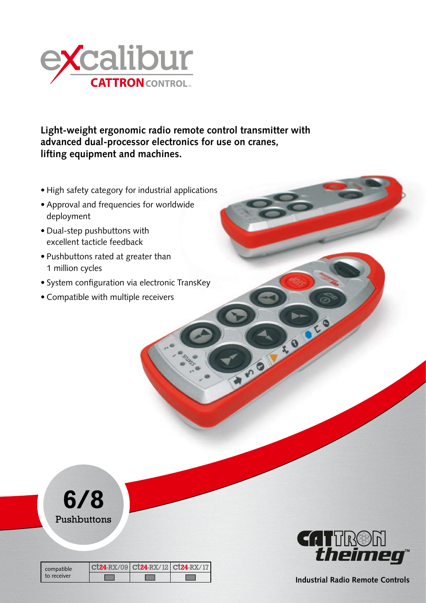

**Light-weight ergonomic radio remote control transmitter with advanced dual-processor electronics for use on cranes, lifting equipment and machines.**

- High safety category for industrial applications
- Approval and frequencies for worldwide deployment
- Dual-step pushbuttons with excellent tacticle feedback
- Pushbuttons rated at greater than 1 million cycles
- System configuration via electronic TransKey
- Compatible with multiple receivers



| compatible<br>to receiver | ct24-RX/09 ct24-RX/12 ct24-RX/17 |  |
|---------------------------|----------------------------------|--|
|                           |                                  |  |



**BASE** 

**Industrial Radio Remote Controls**